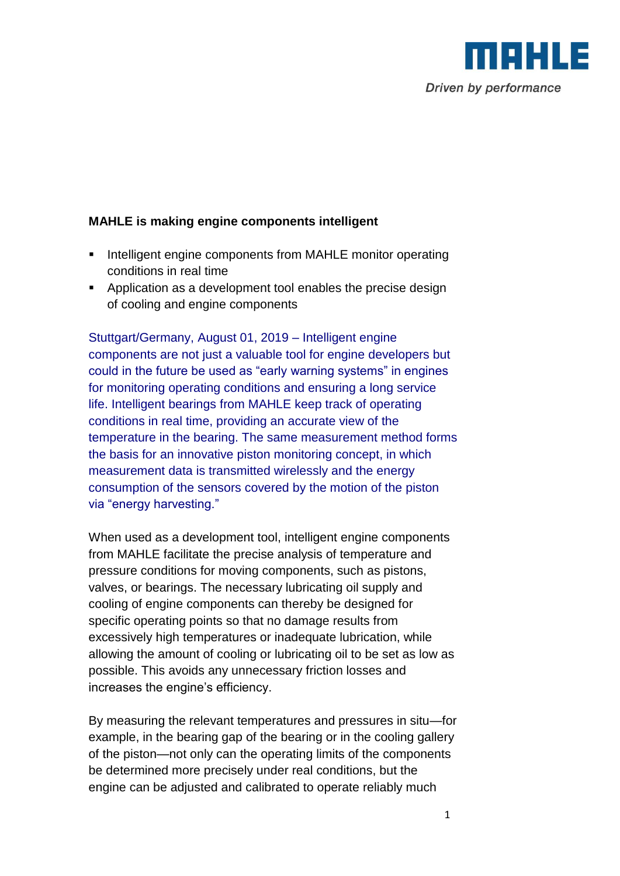

## **MAHLE is making engine components intelligent**

- **Intelligent engine components from MAHLE monitor operating** conditions in real time
- Application as a development tool enables the precise design of cooling and engine components

Stuttgart/Germany, August 01, 2019 – Intelligent engine components are not just a valuable tool for engine developers but could in the future be used as "early warning systems" in engines for monitoring operating conditions and ensuring a long service life. Intelligent bearings from MAHLE keep track of operating conditions in real time, providing an accurate view of the temperature in the bearing. The same measurement method forms the basis for an innovative piston monitoring concept, in which measurement data is transmitted wirelessly and the energy consumption of the sensors covered by the motion of the piston via "energy harvesting."

When used as a development tool, intelligent engine components from MAHLE facilitate the precise analysis of temperature and pressure conditions for moving components, such as pistons, valves, or bearings. The necessary lubricating oil supply and cooling of engine components can thereby be designed for specific operating points so that no damage results from excessively high temperatures or inadequate lubrication, while allowing the amount of cooling or lubricating oil to be set as low as possible. This avoids any unnecessary friction losses and increases the engine's efficiency.

By measuring the relevant temperatures and pressures in situ—for example, in the bearing gap of the bearing or in the cooling gallery of the piston—not only can the operating limits of the components be determined more precisely under real conditions, but the engine can be adjusted and calibrated to operate reliably much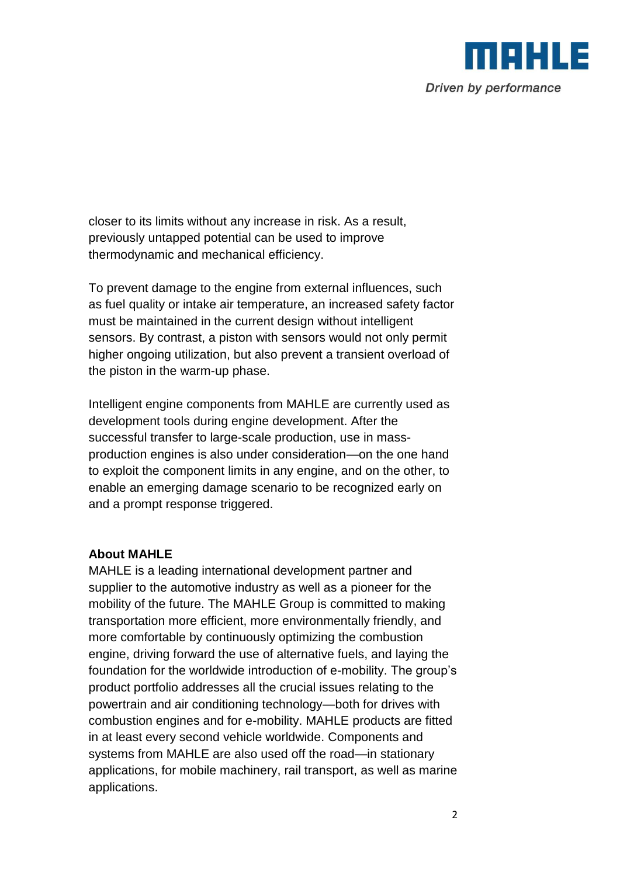

closer to its limits without any increase in risk. As a result, previously untapped potential can be used to improve thermodynamic and mechanical efficiency.

To prevent damage to the engine from external influences, such as fuel quality or intake air temperature, an increased safety factor must be maintained in the current design without intelligent sensors. By contrast, a piston with sensors would not only permit higher ongoing utilization, but also prevent a transient overload of the piston in the warm-up phase.

Intelligent engine components from MAHLE are currently used as development tools during engine development. After the successful transfer to large-scale production, use in massproduction engines is also under consideration—on the one hand to exploit the component limits in any engine, and on the other, to enable an emerging damage scenario to be recognized early on and a prompt response triggered.

## **About MAHLE**

MAHLE is a leading international development partner and supplier to the automotive industry as well as a pioneer for the mobility of the future. The MAHLE Group is committed to making transportation more efficient, more environmentally friendly, and more comfortable by continuously optimizing the combustion engine, driving forward the use of alternative fuels, and laying the foundation for the worldwide introduction of e-mobility. The group's product portfolio addresses all the crucial issues relating to the powertrain and air conditioning technology—both for drives with combustion engines and for e-mobility. MAHLE products are fitted in at least every second vehicle worldwide. Components and systems from MAHLE are also used off the road—in stationary applications, for mobile machinery, rail transport, as well as marine applications.